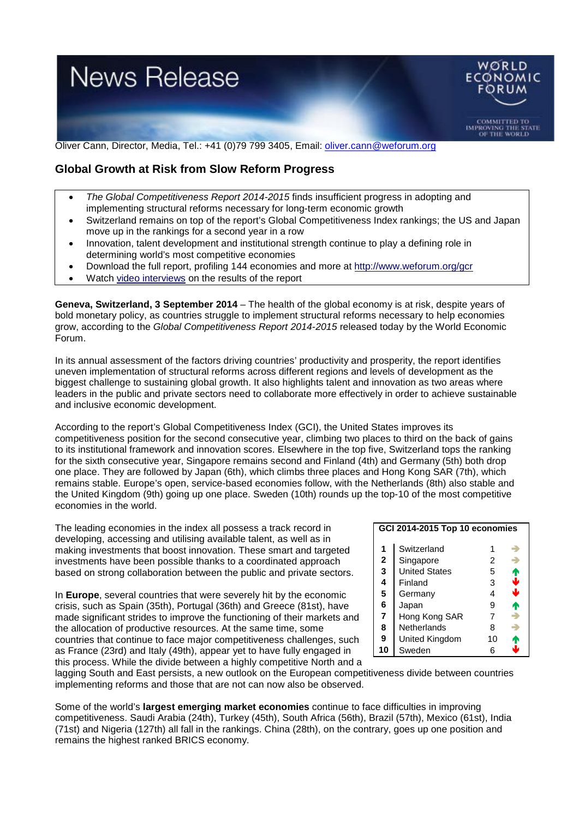

Oliver Cann, Director, Media, Tel.: +41 (0)79 799 3405, Email: [oliver.cann@weforum.org](mailto:oliver.cann@weforum.org)

## **Global Growth at Risk from Slow Reform Progress**

- *The Global Competitiveness Report 2014-2015* finds insufficient progress in adopting and implementing structural reforms necessary for long-term economic growth
- Switzerland remains on top of the report's Global Competitiveness Index rankings; the US and Japan move up in the rankings for a second year in a row
- Innovation, talent development and institutional strength continue to play a defining role in determining world's most competitive economies
- Download the full report, profiling 144 economies and more at<http://www.weforum.org/gcr>
- Watch [video interviews](http://wef.ch/gcr14video) on the results of the report

**Geneva, Switzerland, 3 September 2014** – The health of the global economy is at risk, despite years of bold monetary policy, as countries struggle to implement structural reforms necessary to help economies grow, according to the *Global Competitiveness Report 2014-2015* released today by the World Economic Forum.

In its annual assessment of the factors driving countries' productivity and prosperity, the report identifies uneven implementation of structural reforms across different regions and levels of development as the biggest challenge to sustaining global growth. It also highlights talent and innovation as two areas where leaders in the public and private sectors need to collaborate more effectively in order to achieve sustainable and inclusive economic development.

According to the report's Global Competitiveness Index (GCI), the United States improves its competitiveness position for the second consecutive year, climbing two places to third on the back of gains to its institutional framework and innovation scores. Elsewhere in the top five, Switzerland tops the ranking for the sixth consecutive year, Singapore remains second and Finland (4th) and Germany (5th) both drop one place. They are followed by Japan (6th), which climbs three places and Hong Kong SAR (7th), which remains stable. Europe's open, service-based economies follow, with the Netherlands (8th) also stable and the United Kingdom (9th) going up one place. Sweden (10th) rounds up the top-10 of the most competitive economies in the world.

The leading economies in the index all possess a track record in developing, accessing and utilising available talent, as well as in making investments that boost innovation. These smart and targeted investments have been possible thanks to a coordinated approach based on strong collaboration between the public and private sectors.

In **Europe**, several countries that were severely hit by the economic crisis, such as Spain (35th), Portugal (36th) and Greece (81st), have made significant strides to improve the functioning of their markets and the allocation of productive resources. At the same time, some countries that continue to face major competitiveness challenges, such as France (23rd) and Italy (49th), appear yet to have fully engaged in this process. While the divide between a highly competitive North and a

| GCI 2014-2015 Top 10 economies |                      |    |   |
|--------------------------------|----------------------|----|---|
| 1                              | Switzerland          |    |   |
| $\mathbf{2}$                   | Singapore            | 2  |   |
| 3                              | <b>United States</b> | 5  |   |
| 4                              | Finland              | 3  | 1 |
| 5                              | Germany              | 4  | J |
| 6                              | Japan                | 9  |   |
| $\overline{7}$                 | Hong Kong SAR        | 7  | ÷ |
| 8                              | Netherlands          | 8  | ÷ |
| 9                              | United Kingdom       | 10 |   |
| 10                             | Sweden               |    |   |

lagging South and East persists, a new outlook on the European competitiveness divide between countries implementing reforms and those that are not can now also be observed.

Some of the world's **largest emerging market economies** continue to face difficulties in improving competitiveness. Saudi Arabia (24th), Turkey (45th), South Africa (56th), Brazil (57th), Mexico (61st), India (71st) and Nigeria (127th) all fall in the rankings. China (28th), on the contrary, goes up one position and remains the highest ranked BRICS economy.